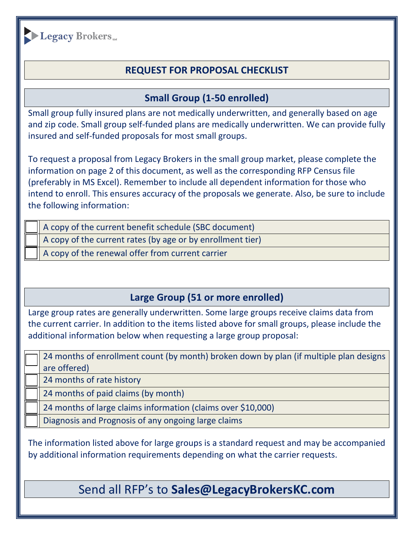

## **REQUEST FOR PROPOSAL CHECKLIST**

## **Small Group (1-50 enrolled)**

Small group fully insured plans are not medically underwritten, and generally based on age and zip code. Small group self-funded plans are medically underwritten. We can provide fully insured and self-funded proposals for most small groups.

To request a proposal from Legacy Brokers in the small group market, please complete the information on page 2 of this document, as well as the corresponding RFP Census file (preferably in MS Excel). Remember to include all dependent information for those who intend to enroll. This ensures accuracy of the proposals we generate. Also, be sure to include the following information:

A copy of the current benefit schedule (SBC document)

A copy of the current rates (by age or by enrollment tier)

A copy of the renewal offer from current carrier

## **Large Group (51 or more enrolled)**

Large group rates are generally underwritten. Some large groups receive claims data from the current carrier. In addition to the items listed above for small groups, please include the additional information below when requesting a large group proposal:

24 months of enrollment count (by month) broken down by plan (if multiple plan designs are offered)

24 months of rate history

24 months of paid claims (by month)

24 months of large claims information (claims over \$10,000)

Diagnosis and Prognosis of any ongoing large claims

The information listed above for large groups is a standard request and may be accompanied by additional information requirements depending on what the carrier requests.

Send all RFP's to **Sales@LegacyBrokersKC.com**